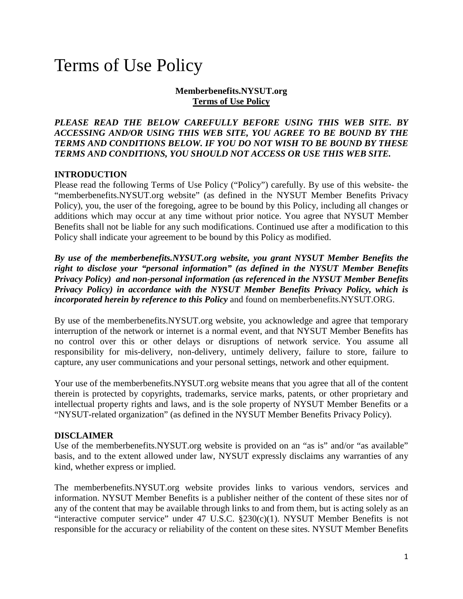# Terms of Use Policy

#### **Memberbenefits.NYSUT.org Terms of Use Policy**

#### *PLEASE READ THE BELOW CAREFULLY BEFORE USING THIS WEB SITE. BY ACCESSING AND/OR USING THIS WEB SITE, YOU AGREE TO BE BOUND BY THE TERMS AND CONDITIONS BELOW. IF YOU DO NOT WISH TO BE BOUND BY THESE TERMS AND CONDITIONS, YOU SHOULD NOT ACCESS OR USE THIS WEB SITE.*

## **INTRODUCTION**

Please read the following Terms of Use Policy ("Policy") carefully. By use of this website- the "memberbenefits.NYSUT.org website" (as defined in the [NYSUT Member Benefits Privacy](https://www.nysut.org/about/privacy-policy)  [Policy\)](https://www.nysut.org/about/privacy-policy), you, the user of the foregoing, agree to be bound by this Policy, including all changes or additions which may occur at any time without prior notice. You agree that NYSUT Member Benefits shall not be liable for any such modifications. Continued use after a modification to this Policy shall indicate your agreement to be bound by this Policy as modified.

*By use of the memberbenefits.NYSUT.org website, you grant NYSUT Member Benefits the right to disclose your "personal information" (as defined in the NYSUT Member Benefits Privacy Policy) and non-personal information (as referenced in the NYSUT Member Benefits Privacy Policy) in accordance with the NYSUT Member Benefits Privacy Policy, which is incorporated herein by reference to this Policy* and found on memberbenefits.NYSUT.ORG.

By use of the memberbenefits.NYSUT.org website, you acknowledge and agree that temporary interruption of the network or internet is a normal event, and that NYSUT Member Benefits has no control over this or other delays or disruptions of network service. You assume all responsibility for mis-delivery, non-delivery, untimely delivery, failure to store, failure to capture, any user communications and your personal settings, network and other equipment.

Your use of the memberbenefits.NYSUT.org website means that you agree that all of the content therein is protected by copyrights, trademarks, service marks, patents, or other proprietary and intellectual property rights and laws, and is the sole property of NYSUT Member Benefits or a "NYSUT-related organization" (as defined in the NYSUT Member Benefits Privacy Policy).

#### **DISCLAIMER**

Use of the memberbenefits.NYSUT.org website is provided on an "as is" and/or "as available" basis, and to the extent allowed under law, NYSUT expressly disclaims any warranties of any kind, whether express or implied.

The memberbenefits.NYSUT.org website provides links to various vendors, services and information. NYSUT Member Benefits is a publisher neither of the content of these sites nor of any of the content that may be available through links to and from them, but is acting solely as an "interactive computer service" under 47 U.S.C.  $\S 230(c)(1)$ . NYSUT Member Benefits is not responsible for the accuracy or reliability of the content on these sites. NYSUT Member Benefits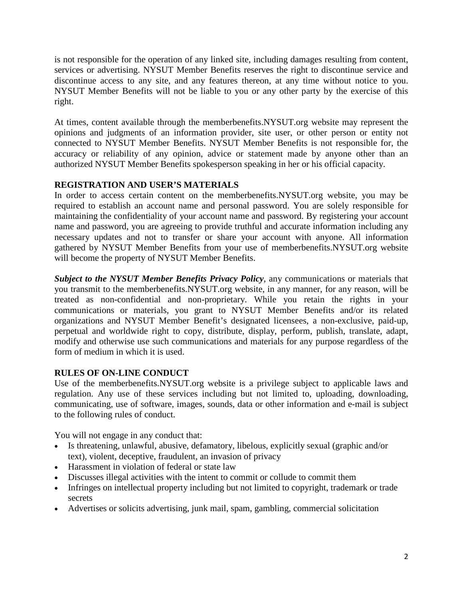is not responsible for the operation of any linked site, including damages resulting from content, services or advertising. NYSUT Member Benefits reserves the right to discontinue service and discontinue access to any site, and any features thereon, at any time without notice to you. NYSUT Member Benefits will not be liable to you or any other party by the exercise of this right.

At times, content available through the memberbenefits.NYSUT.org website may represent the opinions and judgments of an information provider, site user, or other person or entity not connected to NYSUT Member Benefits. NYSUT Member Benefits is not responsible for, the accuracy or reliability of any opinion, advice or statement made by anyone other than an authorized NYSUT Member Benefits spokesperson speaking in her or his official capacity.

# **REGISTRATION AND USER'S MATERIALS**

In order to access certain content on the memberbenefits.NYSUT.org website, you may be required to establish an account name and personal password. You are solely responsible for maintaining the confidentiality of your account name and password. By registering your account name and password, you are agreeing to provide truthful and accurate information including any necessary updates and not to transfer or share your account with anyone. All information gathered by NYSUT Member Benefits from your use of memberbenefits.NYSUT.org website will become the property of NYSUT Member Benefits.

*Subject to the NYSUT Member Benefits Privacy Policy*, any communications or materials that you transmit to the memberbenefits.NYSUT.org website, in any manner, for any reason, will be treated as non-confidential and non-proprietary. While you retain the rights in your communications or materials, you grant to NYSUT Member Benefits and/or its related organizations and NYSUT Member Benefit's designated licensees, a non-exclusive, paid-up, perpetual and worldwide right to copy, distribute, display, perform, publish, translate, adapt, modify and otherwise use such communications and materials for any purpose regardless of the form of medium in which it is used.

## **RULES OF ON-LINE CONDUCT**

Use of the memberbenefits.NYSUT.org website is a privilege subject to applicable laws and regulation. Any use of these services including but not limited to, uploading, downloading, communicating, use of software, images, sounds, data or other information and e-mail is subject to the following rules of conduct.

You will not engage in any conduct that:

- Is threatening, unlawful, abusive, defamatory, libelous, explicitly sexual (graphic and/or text), violent, deceptive, fraudulent, an invasion of privacy
- Harassment in violation of federal or state law
- Discusses illegal activities with the intent to commit or collude to commit them
- Infringes on intellectual property including but not limited to copyright, trademark or trade secrets
- Advertises or solicits advertising, junk mail, spam, gambling, commercial solicitation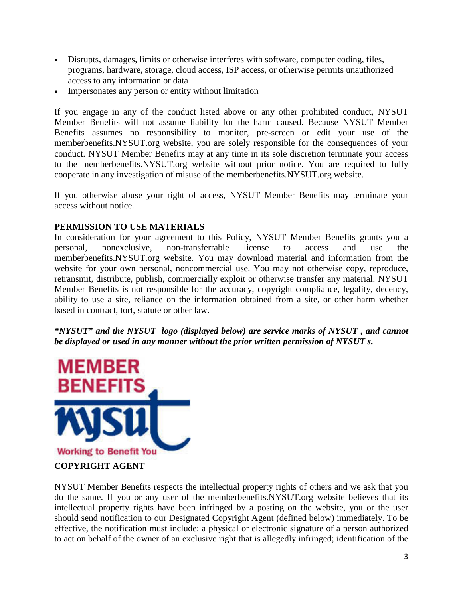- Disrupts, damages, limits or otherwise interferes with software, computer coding, files, programs, hardware, storage, cloud access, ISP access, or otherwise permits unauthorized access to any information or data
- Impersonates any person or entity without limitation

If you engage in any of the conduct listed above or any other prohibited conduct, NYSUT Member Benefits will not assume liability for the harm caused. Because NYSUT Member Benefits assumes no responsibility to monitor, pre-screen or edit your use of the memberbenefits.NYSUT.org website, you are solely responsible for the consequences of your conduct. NYSUT Member Benefits may at any time in its sole discretion terminate your access to the memberbenefits.NYSUT.org website without prior notice. You are required to fully cooperate in any investigation of misuse of the memberbenefits.NYSUT.org website.

If you otherwise abuse your right of access, NYSUT Member Benefits may terminate your access without notice.

## **PERMISSION TO USE MATERIALS**

In consideration for your agreement to this Policy, NYSUT Member Benefits grants you a personal, nonexclusive, non-transferrable license to access and use the memberbenefits.NYSUT.org website. You may download material and information from the website for your own personal, noncommercial use. You may not otherwise copy, reproduce, retransmit, distribute, publish, commercially exploit or otherwise transfer any material. NYSUT Member Benefits is not responsible for the accuracy, copyright compliance, legality, decency, ability to use a site, reliance on the information obtained from a site, or other harm whether based in contract, tort, statute or other law.

*"NYSUT" and the NYSUT logo (displayed below) are service marks of NYSUT , and cannot be displayed or used in any manner without the prior written permission of NYSUT s.* 



NYSUT Member Benefits respects the intellectual property rights of others and we ask that you do the same. If you or any user of the memberbenefits.NYSUT.org website believes that its intellectual property rights have been infringed by a posting on the website, you or the user should send notification to our Designated Copyright Agent (defined below) immediately. To be effective, the notification must include: a physical or electronic signature of a person authorized to act on behalf of the owner of an exclusive right that is allegedly infringed; identification of the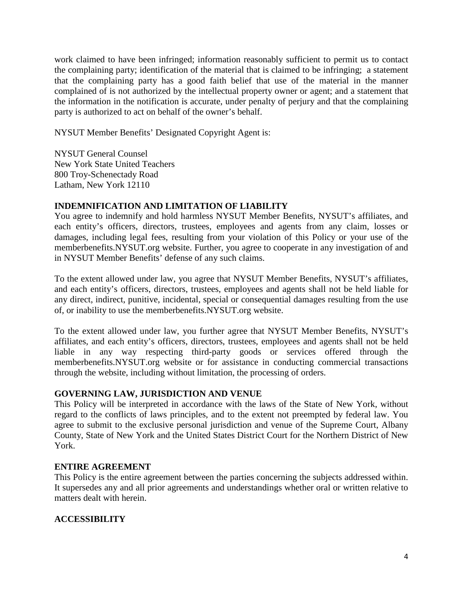work claimed to have been infringed; information reasonably sufficient to permit us to contact the complaining party; identification of the material that is claimed to be infringing; a statement that the complaining party has a good faith belief that use of the material in the manner complained of is not authorized by the intellectual property owner or agent; and a statement that the information in the notification is accurate, under penalty of perjury and that the complaining party is authorized to act on behalf of the owner's behalf.

NYSUT Member Benefits' Designated Copyright Agent is:

NYSUT General Counsel New York State United Teachers 800 Troy-Schenectady Road Latham, New York 12110

#### **INDEMNIFICATION AND LIMITATION OF LIABILITY**

You agree to indemnify and hold harmless NYSUT Member Benefits, NYSUT's affiliates, and each entity's officers, directors, trustees, employees and agents from any claim, losses or damages, including legal fees, resulting from your violation of this Policy or your use of the memberbenefits.NYSUT.org website. Further, you agree to cooperate in any investigation of and in NYSUT Member Benefits' defense of any such claims.

To the extent allowed under law, you agree that NYSUT Member Benefits, NYSUT's affiliates, and each entity's officers, directors, trustees, employees and agents shall not be held liable for any direct, indirect, punitive, incidental, special or consequential damages resulting from the use of, or inability to use the memberbenefits.NYSUT.org website.

To the extent allowed under law, you further agree that NYSUT Member Benefits, NYSUT's affiliates, and each entity's officers, directors, trustees, employees and agents shall not be held liable in any way respecting third-party goods or services offered through the memberbenefits.NYSUT.org website or for assistance in conducting commercial transactions through the website, including without limitation, the processing of orders.

## **GOVERNING LAW, JURISDICTION AND VENUE**

This Policy will be interpreted in accordance with the laws of the State of New York, without regard to the conflicts of laws principles, and to the extent not preempted by federal law. You agree to submit to the exclusive personal jurisdiction and venue of the Supreme Court, Albany County, State of New York and the United States District Court for the Northern District of New York.

#### **ENTIRE AGREEMENT**

This Policy is the entire agreement between the parties concerning the subjects addressed within. It supersedes any and all prior agreements and understandings whether oral or written relative to matters dealt with herein.

## **ACCESSIBILITY**